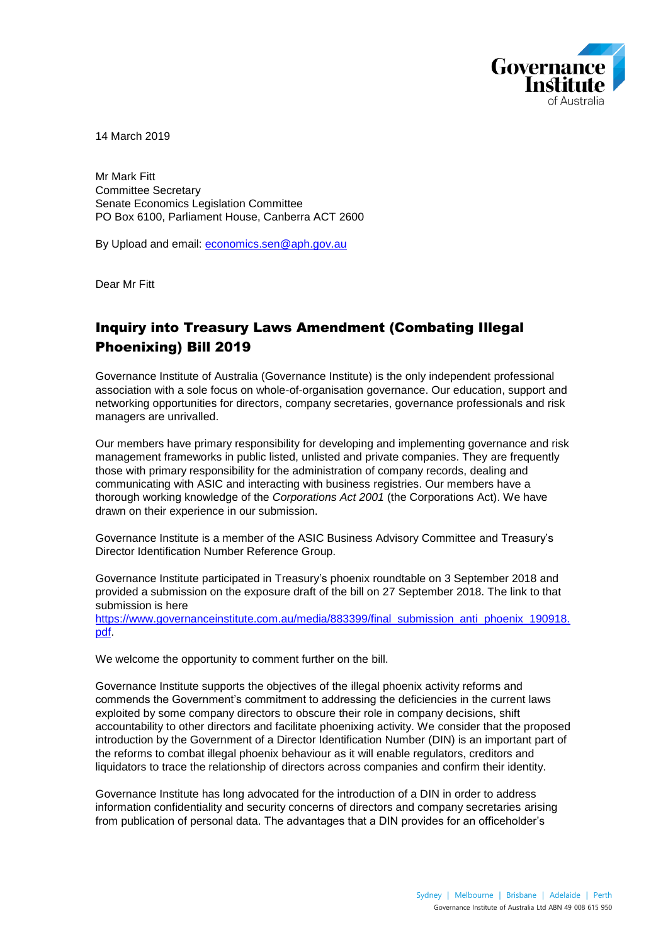

14 March 2019

Mr Mark Fitt Committee Secretary Senate Economics Legislation Committee PO Box 6100, Parliament House, Canberra ACT 2600

By Upload and email: economics.sen@aph.gov.au

Dear Mr Fitt

# Inquiry into Treasury Laws Amendment (Combating Illegal Phoenixing) Bill 2019

Governance Institute of Australia (Governance Institute) is the only independent professional association with a sole focus on whole-of-organisation governance. Our education, support and networking opportunities for directors, company secretaries, governance professionals and risk managers are unrivalled.

Our members have primary responsibility for developing and implementing governance and risk management frameworks in public listed, unlisted and private companies. They are frequently those with primary responsibility for the administration of company records, dealing and communicating with ASIC and interacting with business registries. Our members have a thorough working knowledge of the *Corporations Act 2001* (the Corporations Act). We have drawn on their experience in our submission.

Governance Institute is a member of the ASIC Business Advisory Committee and Treasury's Director Identification Number Reference Group.

Governance Institute participated in Treasury's phoenix roundtable on 3 September 2018 and provided a submission on the exposure draft of the bill on 27 September 2018. The link to that submission is here

[https://www.governanceinstitute.com.au/media/883399/final\\_submission\\_anti\\_phoenix\\_190918.](https://www.governanceinstitute.com.au/media/883399/final_submission_anti_phoenix_190918.pdf) [pdf.](https://www.governanceinstitute.com.au/media/883399/final_submission_anti_phoenix_190918.pdf)

We welcome the opportunity to comment further on the bill.

Governance Institute supports the objectives of the illegal phoenix activity reforms and commends the Government's commitment to addressing the deficiencies in the current laws exploited by some company directors to obscure their role in company decisions, shift accountability to other directors and facilitate phoenixing activity. We consider that the proposed introduction by the Government of a Director Identification Number (DIN) is an important part of the reforms to combat illegal phoenix behaviour as it will enable regulators, creditors and liquidators to trace the relationship of directors across companies and confirm their identity.

Governance Institute has long advocated for the introduction of a DIN in order to address information confidentiality and security concerns of directors and company secretaries arising from publication of personal data. The advantages that a DIN provides for an officeholder's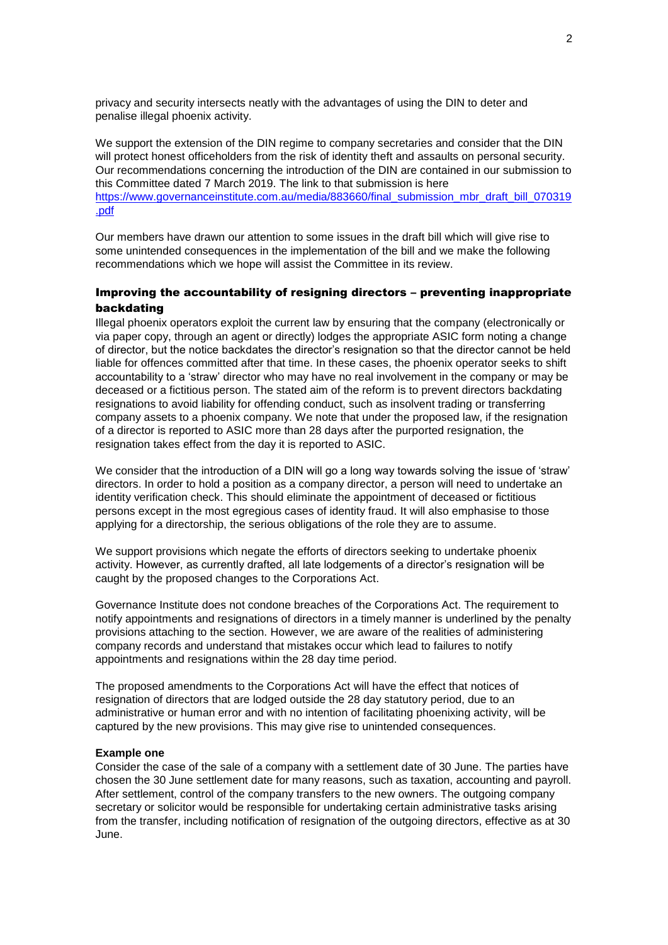privacy and security intersects neatly with the advantages of using the DIN to deter and penalise illegal phoenix activity.

We support the extension of the DIN regime to company secretaries and consider that the DIN will protect honest officeholders from the risk of identity theft and assaults on personal security. Our recommendations concerning the introduction of the DIN are contained in our submission to this Committee dated 7 March 2019. The link to that submission is here [https://www.governanceinstitute.com.au/media/883660/final\\_submission\\_mbr\\_draft\\_bill\\_070319](https://www.governanceinstitute.com.au/media/883660/final_submission_mbr_draft_bill_070319.pdf) [.pdf](https://www.governanceinstitute.com.au/media/883660/final_submission_mbr_draft_bill_070319.pdf)

Our members have drawn our attention to some issues in the draft bill which will give rise to some unintended consequences in the implementation of the bill and we make the following recommendations which we hope will assist the Committee in its review.

## Improving the accountability of resigning directors – preventing inappropriate backdating

Illegal phoenix operators exploit the current law by ensuring that the company (electronically or via paper copy, through an agent or directly) lodges the appropriate ASIC form noting a change of director, but the notice backdates the director's resignation so that the director cannot be held liable for offences committed after that time. In these cases, the phoenix operator seeks to shift accountability to a 'straw' director who may have no real involvement in the company or may be deceased or a fictitious person. The stated aim of the reform is to prevent directors backdating resignations to avoid liability for offending conduct, such as insolvent trading or transferring company assets to a phoenix company. We note that under the proposed law, if the resignation of a director is reported to ASIC more than 28 days after the purported resignation, the resignation takes effect from the day it is reported to ASIC.

We consider that the introduction of a DIN will go a long way towards solving the issue of 'straw' directors. In order to hold a position as a company director, a person will need to undertake an identity verification check. This should eliminate the appointment of deceased or fictitious persons except in the most egregious cases of identity fraud. It will also emphasise to those applying for a directorship, the serious obligations of the role they are to assume.

We support provisions which negate the efforts of directors seeking to undertake phoenix activity. However, as currently drafted, all late lodgements of a director's resignation will be caught by the proposed changes to the Corporations Act.

Governance Institute does not condone breaches of the Corporations Act. The requirement to notify appointments and resignations of directors in a timely manner is underlined by the penalty provisions attaching to the section. However, we are aware of the realities of administering company records and understand that mistakes occur which lead to failures to notify appointments and resignations within the 28 day time period.

The proposed amendments to the Corporations Act will have the effect that notices of resignation of directors that are lodged outside the 28 day statutory period, due to an administrative or human error and with no intention of facilitating phoenixing activity, will be captured by the new provisions. This may give rise to unintended consequences.

#### **Example one**

Consider the case of the sale of a company with a settlement date of 30 June. The parties have chosen the 30 June settlement date for many reasons, such as taxation, accounting and payroll. After settlement, control of the company transfers to the new owners. The outgoing company secretary or solicitor would be responsible for undertaking certain administrative tasks arising from the transfer, including notification of resignation of the outgoing directors, effective as at 30 June.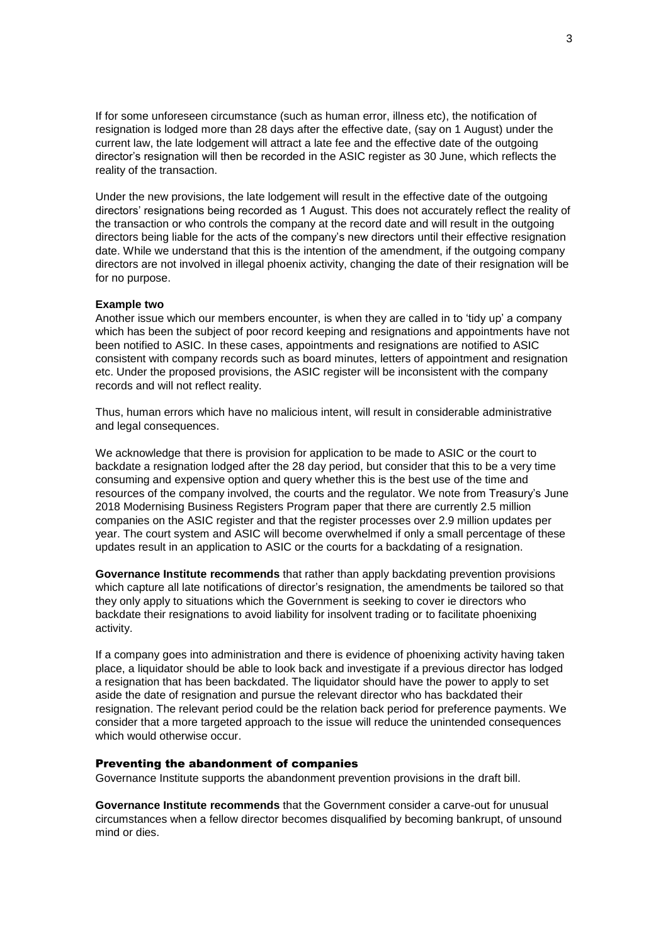If for some unforeseen circumstance (such as human error, illness etc), the notification of resignation is lodged more than 28 days after the effective date, (say on 1 August) under the current law, the late lodgement will attract a late fee and the effective date of the outgoing director's resignation will then be recorded in the ASIC register as 30 June, which reflects the reality of the transaction.

Under the new provisions, the late lodgement will result in the effective date of the outgoing directors' resignations being recorded as 1 August. This does not accurately reflect the reality of the transaction or who controls the company at the record date and will result in the outgoing directors being liable for the acts of the company's new directors until their effective resignation date. While we understand that this is the intention of the amendment, if the outgoing company directors are not involved in illegal phoenix activity, changing the date of their resignation will be for no purpose.

#### **Example two**

Another issue which our members encounter, is when they are called in to 'tidy up' a company which has been the subject of poor record keeping and resignations and appointments have not been notified to ASIC. In these cases, appointments and resignations are notified to ASIC consistent with company records such as board minutes, letters of appointment and resignation etc. Under the proposed provisions, the ASIC register will be inconsistent with the company records and will not reflect reality.

Thus, human errors which have no malicious intent, will result in considerable administrative and legal consequences.

We acknowledge that there is provision for application to be made to ASIC or the court to backdate a resignation lodged after the 28 day period, but consider that this to be a very time consuming and expensive option and query whether this is the best use of the time and resources of the company involved, the courts and the regulator. We note from Treasury's June 2018 Modernising Business Registers Program paper that there are currently 2.5 million companies on the ASIC register and that the register processes over 2.9 million updates per year. The court system and ASIC will become overwhelmed if only a small percentage of these updates result in an application to ASIC or the courts for a backdating of a resignation.

**Governance Institute recommends** that rather than apply backdating prevention provisions which capture all late notifications of director's resignation, the amendments be tailored so that they only apply to situations which the Government is seeking to cover ie directors who backdate their resignations to avoid liability for insolvent trading or to facilitate phoenixing activity.

If a company goes into administration and there is evidence of phoenixing activity having taken place, a liquidator should be able to look back and investigate if a previous director has lodged a resignation that has been backdated. The liquidator should have the power to apply to set aside the date of resignation and pursue the relevant director who has backdated their resignation. The relevant period could be the relation back period for preference payments. We consider that a more targeted approach to the issue will reduce the unintended consequences which would otherwise occur.

### Preventing the abandonment of companies

Governance Institute supports the abandonment prevention provisions in the draft bill.

**Governance Institute recommends** that the Government consider a carve-out for unusual circumstances when a fellow director becomes disqualified by becoming bankrupt, of unsound mind or dies.